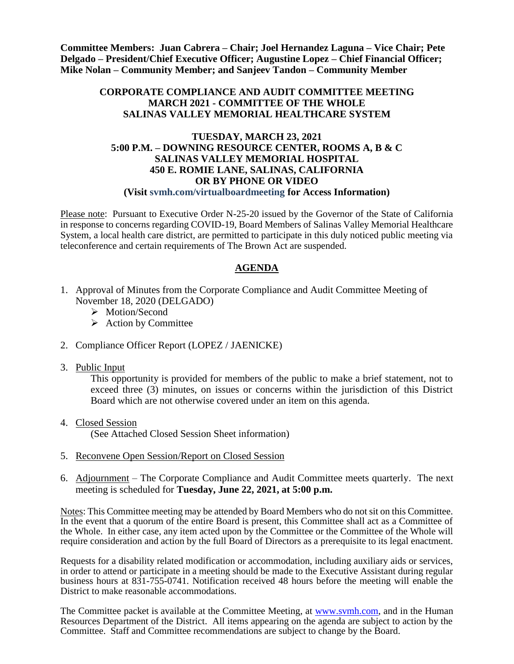**Committee Members: Juan Cabrera – Chair; Joel Hernandez Laguna – Vice Chair; Pete Delgado – President/Chief Executive Officer; Augustine Lopez – Chief Financial Officer; Mike Nolan – Community Member; and Sanjeev Tandon – Community Member**

## **CORPORATE COMPLIANCE AND AUDIT COMMITTEE MEETING MARCH 2021 - COMMITTEE OF THE WHOLE SALINAS VALLEY MEMORIAL HEALTHCARE SYSTEM**

#### **TUESDAY, MARCH 23, 2021 5:00 P.M. – DOWNING RESOURCE CENTER, ROOMS A, B & C SALINAS VALLEY MEMORIAL HOSPITAL 450 E. ROMIE LANE, SALINAS, CALIFORNIA OR BY PHONE OR VIDEO (Visit svmh.com/virtualboardmeeting for Access Information)**

Please note: Pursuant to Executive Order N-25-20 issued by the Governor of the State of California in response to concerns regarding COVID-19, Board Members of Salinas Valley Memorial Healthcare System, a local health care district, are permitted to participate in this duly noticed public meeting via teleconference and certain requirements of The Brown Act are suspended.

# **AGENDA**

- 1. Approval of Minutes from the Corporate Compliance and Audit Committee Meeting of November 18, 2020 (DELGADO)
	- > Motion/Second
	- $\triangleright$  Action by Committee
- 2. Compliance Officer Report (LOPEZ / JAENICKE)
- 3. Public Input

This opportunity is provided for members of the public to make a brief statement, not to exceed three (3) minutes, on issues or concerns within the jurisdiction of this District Board which are not otherwise covered under an item on this agenda.

4. Closed Session

(See Attached Closed Session Sheet information)

- 5. Reconvene Open Session/Report on Closed Session
- 6. Adjournment The Corporate Compliance and Audit Committee meets quarterly. The next meeting is scheduled for **Tuesday, June 22, 2021, at 5:00 p.m.**

Notes: This Committee meeting may be attended by Board Members who do not sit on this Committee. In the event that a quorum of the entire Board is present, this Committee shall act as a Committee of the Whole. In either case, any item acted upon by the Committee or the Committee of the Whole will require consideration and action by the full Board of Directors as a prerequisite to its legal enactment.

Requests for a disability related modification or accommodation, including auxiliary aids or services, in order to attend or participate in a meeting should be made to the Executive Assistant during regular business hours at 831-755-0741. Notification received 48 hours before the meeting will enable the District to make reasonable accommodations.

The Committee packet is available at the Committee Meeting, at [www.svmh.com,](http://www.svmh.com/) and in the Human Resources Department of the District. All items appearing on the agenda are subject to action by the Committee. Staff and Committee recommendations are subject to change by the Board.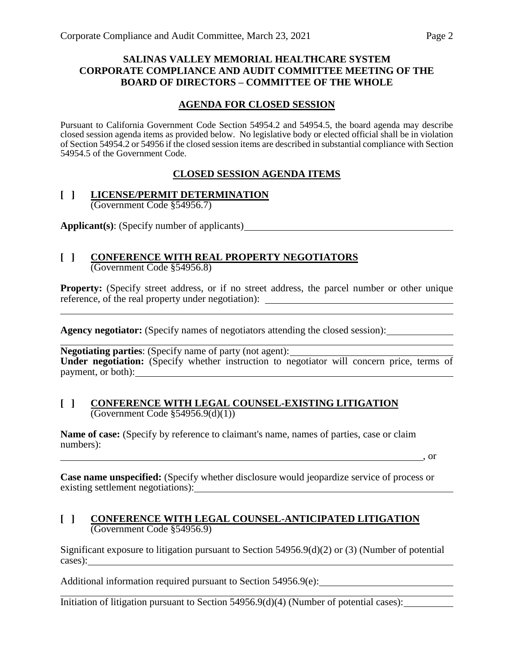## **SALINAS VALLEY MEMORIAL HEALTHCARE SYSTEM CORPORATE COMPLIANCE AND AUDIT COMMITTEE MEETING OF THE BOARD OF DIRECTORS – COMMITTEE OF THE WHOLE**

## **AGENDA FOR CLOSED SESSION**

Pursuant to California Government Code Section 54954.2 and 54954.5, the board agenda may describe closed session agenda items as provided below. No legislative body or elected official shall be in violation of Section 54954.2 or 54956 if the closed session items are described in substantial compliance with Section 54954.5 of the Government Code.

## **CLOSED SESSION AGENDA ITEMS**

#### **[ ] LICENSE/PERMIT DETERMINATION** (Government Code §54956.7)

**Applicant(s)**: (Specify number of applicants)

#### **[ ] CONFERENCE WITH REAL PROPERTY NEGOTIATORS** (Government Code §54956.8)

**Property:** (Specify street address, or if no street address, the parcel number or other unique reference, of the real property under negotiation):

**Agency negotiator:** (Specify names of negotiators attending the closed session):

**Negotiating parties:** (Specify name of party (not agent): <u>Negotiating</u> parties: (Specify name of party (not agent): **Under negotiation:** (Specify whether instruction to negotiator will concern price, terms of payment, or both):

#### **[ ] CONFERENCE WITH LEGAL COUNSEL-EXISTING LITIGATION**  $\overline{(Government Code \S 54956.9(d)(1))}$

**Name of case:** (Specify by reference to claimant's name, names of parties, case or claim numbers):

, or

**Case name unspecified:** (Specify whether disclosure would jeopardize service of process or existing settlement negotiations):

#### **[ ] CONFERENCE WITH LEGAL COUNSEL-ANTICIPATED LITIGATION** (Government Code §54956.9)

Significant exposure to litigation pursuant to Section 54956.9(d)(2) or (3) (Number of potential cases):

Additional information required pursuant to Section 54956.9(e):

Initiation of litigation pursuant to Section 54956.9(d)(4) (Number of potential cases):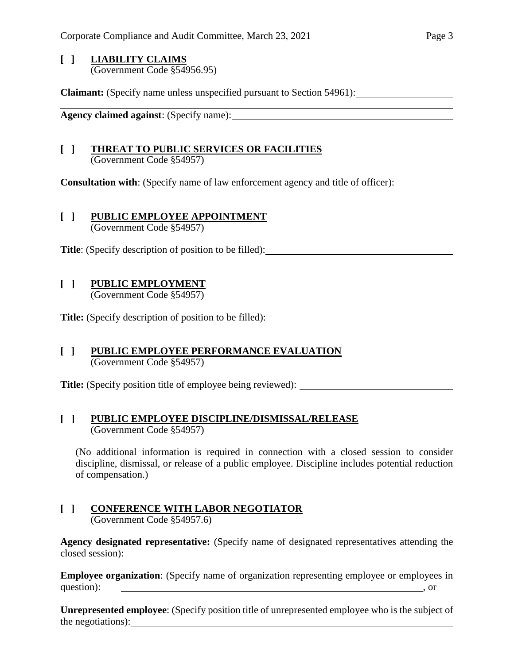## **[ ] LIABILITY CLAIMS** (Government Code §54956.95)

**Claimant:** (Specify name unless unspecified pursuant to Section 54961):

**Agency claimed against**: (Specify name):

## **[ ] THREAT TO PUBLIC SERVICES OR FACILITIES** (Government Code §54957)

**Consultation with**: (Specify name of law enforcement agency and title of officer):

## **[ ] PUBLIC EMPLOYEE APPOINTMENT**

(Government Code §54957)

**Title**: (Specify description of position to be filled):

## **[ ] PUBLIC EMPLOYMENT** (Government Code §54957)

**Title:** (Specify description of position to be filled):

#### **[ ] PUBLIC EMPLOYEE PERFORMANCE EVALUATION** (Government Code §54957)

**Title:** (Specify position title of employee being reviewed):

# **[ ] PUBLIC EMPLOYEE DISCIPLINE/DISMISSAL/RELEASE**

(Government Code §54957)

(No additional information is required in connection with a closed session to consider discipline, dismissal, or release of a public employee. Discipline includes potential reduction of compensation.)

#### **[ ] CONFERENCE WITH LABOR NEGOTIATOR** (Government Code §54957.6)

**Agency designated representative:** (Specify name of designated representatives attending the closed session):

**Employee organization**: (Specify name of organization representing employee or employees in question):  $\qquad \qquad$  , or

**Unrepresented employee**: (Specify position title of unrepresented employee who is the subject of the negotiations):